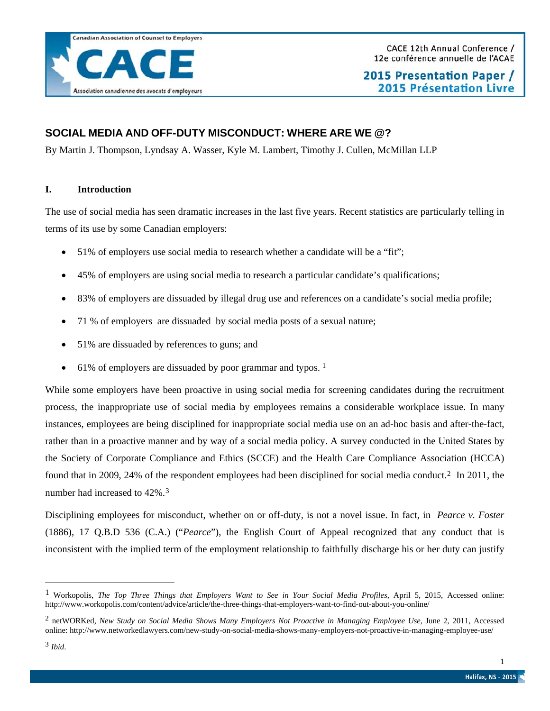## **SOCIAL MEDIA AND OFF-DUTY MISCONDUCT: WHERE ARE WE @?**

By Martin J. Thompson, Lyndsay A. Wasser, Kyle M. Lambert, Timothy J. Cullen, McMillan LLP

### **I. Introduction**

The use of social media has seen dramatic increases in the last five years. Recent statistics are particularly telling in terms of its use by some Canadian employers:

- 51% of employers use social media to research whether a candidate will be a "fit";
- 45% of employers are using social media to research a particular candidate's qualifications;
- 83% of employers are dissuaded by illegal drug use and references on a candidate's social media profile;
- 71 % of employers are dissuaded by social media posts of a sexual nature;
- 51% are dissuaded by references to guns; and
- 6[1](#page-0-0)% of employers are dissuaded by poor grammar and typos.  $1$

While some employers have been proactive in using social media for screening candidates during the recruitment process, the inappropriate use of social media by employees remains a considerable workplace issue. In many instances, employees are being disciplined for inappropriate social media use on an ad-hoc basis and after-the-fact, rather than in a proactive manner and by way of a social media policy. A survey conducted in the United States by the Society of Corporate Compliance and Ethics (SCCE) and the Health Care Compliance Association (HCCA) found that in 2009, 24% of the respondent employees had been disciplined for social media conduct.[2](#page-0-1) In 2011, the number had increased to 42%.[3](#page-0-2)

Disciplining employees for misconduct, whether on or off-duty, is not a novel issue. In fact, in *Pearce v. Foster*  (1886), 17 Q.B.D 536 (C.A.) ("*Pearce*"), the English Court of Appeal recognized that any conduct that is inconsistent with the implied term of the employment relationship to faithfully discharge his or her duty can justify

 $\overline{a}$ 

<span id="page-0-0"></span><sup>1</sup> Workopolis, *The Top Three Things that Employers Want to See in Your Social Media Profiles*, April 5, 2015, Accessed online: http://www.workopolis.com/content/advice/article/the-three-things-that-employers-want-to-find-out-about-you-online/

<span id="page-0-2"></span><span id="page-0-1"></span><sup>2</sup> netWORKed, *New Study on Social Media Shows Many Employers Not Proactive in Managing Employee Use*, June 2, 2011, Accessed online: http://www.networkedlawyers.com/new-study-on-social-media-shows-many-employers-not-proactive-in-managing-employee-use/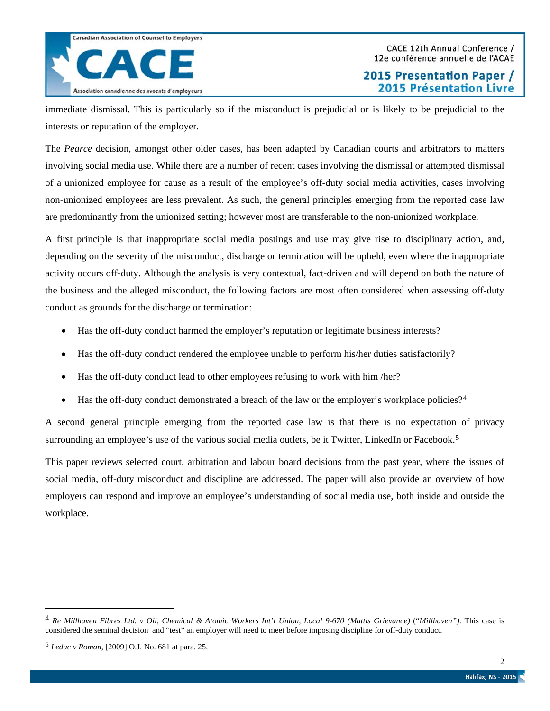

immediate dismissal. This is particularly so if the misconduct is prejudicial or is likely to be prejudicial to the interests or reputation of the employer.

The *Pearce* decision, amongst other older cases, has been adapted by Canadian courts and arbitrators to matters involving social media use. While there are a number of recent cases involving the dismissal or attempted dismissal of a unionized employee for cause as a result of the employee's off-duty social media activities, cases involving non-unionized employees are less prevalent. As such, the general principles emerging from the reported case law are predominantly from the unionized setting; however most are transferable to the non-unionized workplace.

A first principle is that inappropriate social media postings and use may give rise to disciplinary action, and, depending on the severity of the misconduct, discharge or termination will be upheld, even where the inappropriate activity occurs off-duty. Although the analysis is very contextual, fact-driven and will depend on both the nature of the business and the alleged misconduct, the following factors are most often considered when assessing off-duty conduct as grounds for the discharge or termination:

- Has the off-duty conduct harmed the employer's reputation or legitimate business interests?
- Has the off-duty conduct rendered the employee unable to perform his/her duties satisfactorily?
- Has the off-duty conduct lead to other employees refusing to work with him /her?
- Has the off-duty conduct demonstrated a breach of the law or the employer's workplace policies?<sup>[4](#page-1-0)</sup>

A second general principle emerging from the reported case law is that there is no expectation of privacy surrounding an employee's use of the various social media outlets, be it Twitter, LinkedIn or Facebook.<sup>[5](#page-1-1)</sup>

This paper reviews selected court, arbitration and labour board decisions from the past year, where the issues of social media, off-duty misconduct and discipline are addressed. The paper will also provide an overview of how employers can respond and improve an employee's understanding of social media use, both inside and outside the workplace.

 $\overline{a}$ 

<span id="page-1-0"></span><sup>4</sup> *Re Millhaven Fibres Ltd. v Oil, Chemical & Atomic Workers Int'l Union, Local 9-670 (Mattis Grievance)* ("*Millhaven")*. This case is considered the seminal decision and "test" an employer will need to meet before imposing discipline for off-duty conduct.

<span id="page-1-1"></span><sup>5</sup> *Leduc v Roman*, [2009] O.J. No. 681 at para. 25.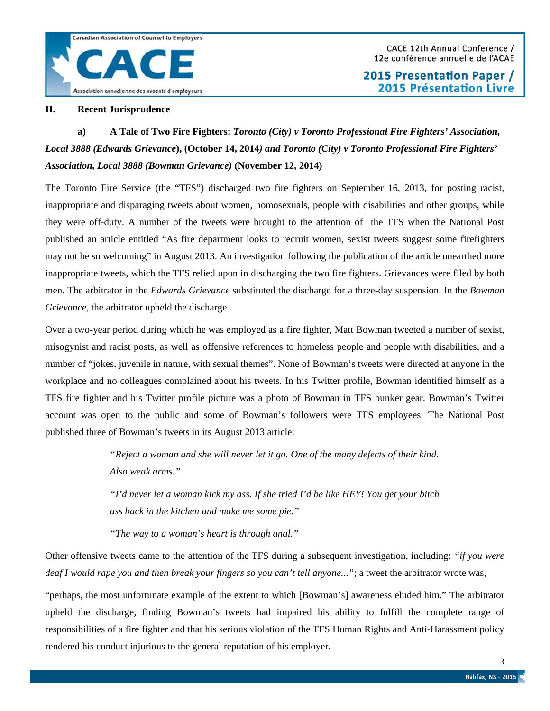### **II. Recent Jurisprudence**

# **a) A Tale of Two Fire Fighters:** *Toronto (City) v Toronto Professional Fire Fighters' Association, Local 3888 (Edwards Grievance***), (October 14, 2014***) and Toronto (City) v Toronto Professional Fire Fighters' Association, Local 3888 (Bowman Grievance)* **(November 12, 2014)**

The Toronto Fire Service (the "TFS") discharged two fire fighters on September 16, 2013, for posting racist, inappropriate and disparaging tweets about women, homosexuals, people with disabilities and other groups, while they were off-duty. A number of the tweets were brought to the attention of the TFS when the National Post published an article entitled "As fire department looks to recruit women, sexist tweets suggest some firefighters may not be so welcoming" in August 2013. An investigation following the publication of the article unearthed more inappropriate tweets, which the TFS relied upon in discharging the two fire fighters. Grievances were filed by both men. The arbitrator in the *Edwards Grievance* substituted the discharge for a three-day suspension. In the *Bowman Grievance*, the arbitrator upheld the discharge.

Over a two-year period during which he was employed as a fire fighter, Matt Bowman tweeted a number of sexist, misogynist and racist posts, as well as offensive references to homeless people and people with disabilities, and a number of "jokes, juvenile in nature, with sexual themes". None of Bowman's tweets were directed at anyone in the workplace and no colleagues complained about his tweets. In his Twitter profile, Bowman identified himself as a TFS fire fighter and his Twitter profile picture was a photo of Bowman in TFS bunker gear. Bowman's Twitter account was open to the public and some of Bowman's followers were TFS employees. The National Post published three of Bowman's tweets in its August 2013 article:

> *"Reject a woman and she will never let it go. One of the many defects of their kind. Also weak arms."*

> *"I'd never let a woman kick my ass. If she tried I'd be like HEY! You get your bitch ass back in the kitchen and make me some pie."*

*"The way to a woman's heart is through anal."*

Other offensive tweets came to the attention of the TFS during a subsequent investigation, including: *"if you were deaf I would rape you and then break your fingers so you can't tell anyone..."*; a tweet the arbitrator wrote was,

"perhaps, the most unfortunate example of the extent to which [Bowman's] awareness eluded him." The arbitrator upheld the discharge, finding Bowman's tweets had impaired his ability to fulfill the complete range of responsibilities of a fire fighter and that his serious violation of the TFS Human Rights and Anti-Harassment policy rendered his conduct injurious to the general reputation of his employer.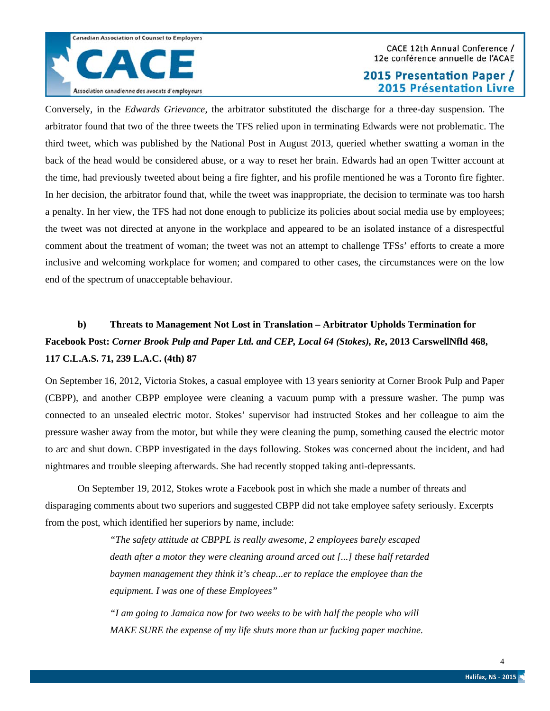

#### CACE 12th Annual Conference / 12e conférence annuelle de l'ACAE

## 2015 Presentation Paper / **2015 Présentation Livre**

Conversely, in the *Edwards Grievance*, the arbitrator substituted the discharge for a three-day suspension. The arbitrator found that two of the three tweets the TFS relied upon in terminating Edwards were not problematic. The third tweet, which was published by the National Post in August 2013, queried whether swatting a woman in the back of the head would be considered abuse, or a way to reset her brain. Edwards had an open Twitter account at the time, had previously tweeted about being a fire fighter, and his profile mentioned he was a Toronto fire fighter. In her decision, the arbitrator found that, while the tweet was inappropriate, the decision to terminate was too harsh a penalty. In her view, the TFS had not done enough to publicize its policies about social media use by employees; the tweet was not directed at anyone in the workplace and appeared to be an isolated instance of a disrespectful comment about the treatment of woman; the tweet was not an attempt to challenge TFSs' efforts to create a more inclusive and welcoming workplace for women; and compared to other cases, the circumstances were on the low end of the spectrum of unacceptable behaviour.

# **b) Threats to Management Not Lost in Translation – Arbitrator Upholds Termination for Facebook Post:** *Corner Brook Pulp and Paper Ltd. and CEP, Local 64 (Stokes), Re***, 2013 CarswellNfld 468, 117 C.L.A.S. 71, 239 L.A.C. (4th) 87**

On September 16, 2012, Victoria Stokes, a casual employee with 13 years seniority at Corner Brook Pulp and Paper (CBPP), and another CBPP employee were cleaning a vacuum pump with a pressure washer. The pump was connected to an unsealed electric motor. Stokes' supervisor had instructed Stokes and her colleague to aim the pressure washer away from the motor, but while they were cleaning the pump, something caused the electric motor to arc and shut down. CBPP investigated in the days following. Stokes was concerned about the incident, and had nightmares and trouble sleeping afterwards. She had recently stopped taking anti-depressants.

On September 19, 2012, Stokes wrote a Facebook post in which she made a number of threats and disparaging comments about two superiors and suggested CBPP did not take employee safety seriously. Excerpts from the post, which identified her superiors by name, include:

> *"The safety attitude at CBPPL is really awesome, 2 employees barely escaped death after a motor they were cleaning around arced out [...] these half retarded baymen management they think it's cheap...er to replace the employee than the equipment. I was one of these Employees"*

*"I am going to Jamaica now for two weeks to be with half the people who will MAKE SURE the expense of my life shuts more than ur fucking paper machine.*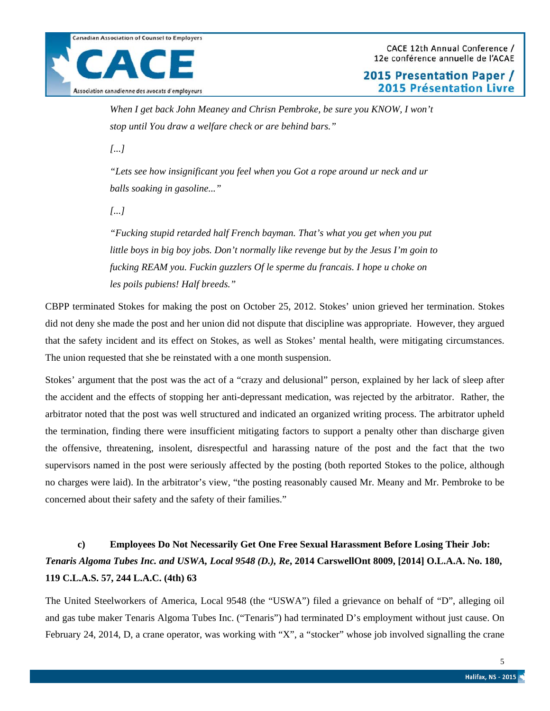*When I get back John Meaney and Chrisn Pembroke, be sure you KNOW, I won't stop until You draw a welfare check or are behind bars."*

*[...]*

*"Lets see how insignificant you feel when you Got a rope around ur neck and ur balls soaking in gasoline..."*

*[...]*

*"Fucking stupid retarded half French bayman. That's what you get when you put little boys in big boy jobs. Don't normally like revenge but by the Jesus I'm goin to fucking REAM you. Fuckin guzzlers Of le sperme du francais. I hope u choke on les poils pubiens! Half breeds."*

CBPP terminated Stokes for making the post on October 25, 2012. Stokes' union grieved her termination. Stokes did not deny she made the post and her union did not dispute that discipline was appropriate. However, they argued that the safety incident and its effect on Stokes, as well as Stokes' mental health, were mitigating circumstances. The union requested that she be reinstated with a one month suspension.

Stokes' argument that the post was the act of a "crazy and delusional" person, explained by her lack of sleep after the accident and the effects of stopping her anti-depressant medication, was rejected by the arbitrator. Rather, the arbitrator noted that the post was well structured and indicated an organized writing process. The arbitrator upheld the termination, finding there were insufficient mitigating factors to support a penalty other than discharge given the offensive, threatening, insolent, disrespectful and harassing nature of the post and the fact that the two supervisors named in the post were seriously affected by the posting (both reported Stokes to the police, although no charges were laid). In the arbitrator's view, "the posting reasonably caused Mr. Meany and Mr. Pembroke to be concerned about their safety and the safety of their families."

# **c) Employees Do Not Necessarily Get One Free Sexual Harassment Before Losing Their Job:**  *Tenaris Algoma Tubes Inc. and USWA, Local 9548 (D.), Re***, 2014 CarswellOnt 8009, [2014] O.L.A.A. No. 180, 119 C.L.A.S. 57, 244 L.A.C. (4th) 63**

The United Steelworkers of America, Local 9548 (the "USWA") filed a grievance on behalf of "D", alleging oil and gas tube maker Tenaris Algoma Tubes Inc. ("Tenaris") had terminated D's employment without just cause. On February 24, 2014, D, a crane operator, was working with "X", a "stocker" whose job involved signalling the crane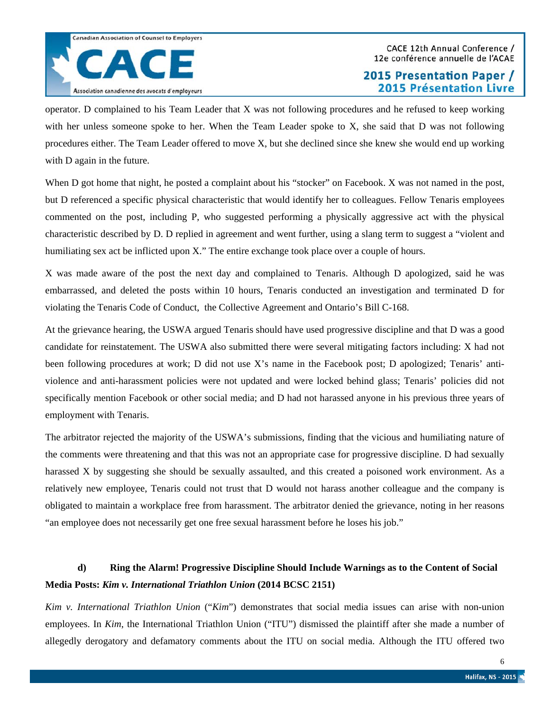operator. D complained to his Team Leader that X was not following procedures and he refused to keep working with her unless someone spoke to her. When the Team Leader spoke to X, she said that D was not following procedures either. The Team Leader offered to move X, but she declined since she knew she would end up working with D again in the future.

When D got home that night, he posted a complaint about his "stocker" on Facebook. X was not named in the post, but D referenced a specific physical characteristic that would identify her to colleagues. Fellow Tenaris employees commented on the post, including P, who suggested performing a physically aggressive act with the physical characteristic described by D. D replied in agreement and went further, using a slang term to suggest a "violent and humiliating sex act be inflicted upon X." The entire exchange took place over a couple of hours.

X was made aware of the post the next day and complained to Tenaris. Although D apologized, said he was embarrassed, and deleted the posts within 10 hours, Tenaris conducted an investigation and terminated D for violating the Tenaris Code of Conduct, the Collective Agreement and Ontario's Bill C-168.

At the grievance hearing, the USWA argued Tenaris should have used progressive discipline and that D was a good candidate for reinstatement. The USWA also submitted there were several mitigating factors including: X had not been following procedures at work; D did not use X's name in the Facebook post; D apologized; Tenaris' antiviolence and anti-harassment policies were not updated and were locked behind glass; Tenaris' policies did not specifically mention Facebook or other social media; and D had not harassed anyone in his previous three years of employment with Tenaris.

The arbitrator rejected the majority of the USWA's submissions, finding that the vicious and humiliating nature of the comments were threatening and that this was not an appropriate case for progressive discipline. D had sexually harassed X by suggesting she should be sexually assaulted, and this created a poisoned work environment. As a relatively new employee, Tenaris could not trust that D would not harass another colleague and the company is obligated to maintain a workplace free from harassment. The arbitrator denied the grievance, noting in her reasons "an employee does not necessarily get one free sexual harassment before he loses his job."

## **d) Ring the Alarm! Progressive Discipline Should Include Warnings as to the Content of Social Media Posts:** *Kim v. International Triathlon Union* **(2014 BCSC 2151)**

*Kim v. International Triathlon Union* ("*Kim*") demonstrates that social media issues can arise with non-union employees. In *Kim*, the International Triathlon Union ("ITU") dismissed the plaintiff after she made a number of allegedly derogatory and defamatory comments about the ITU on social media. Although the ITU offered two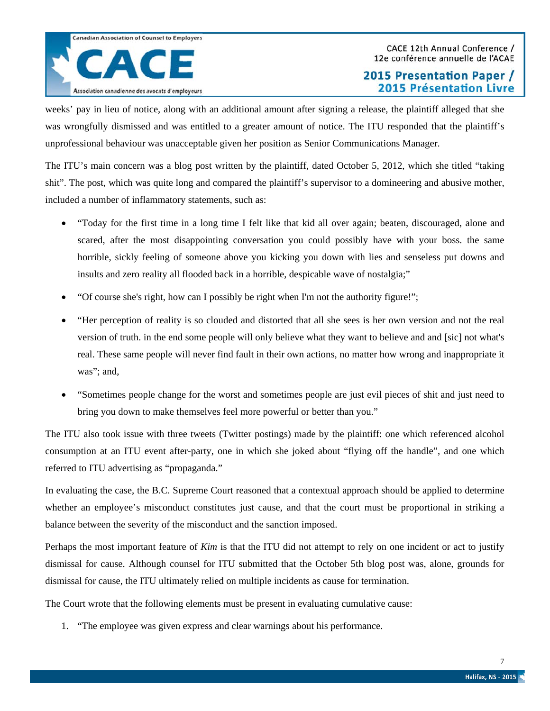weeks' pay in lieu of notice, along with an additional amount after signing a release, the plaintiff alleged that she was wrongfully dismissed and was entitled to a greater amount of notice. The ITU responded that the plaintiff's unprofessional behaviour was unacceptable given her position as Senior Communications Manager.

The ITU's main concern was a blog post written by the plaintiff, dated October 5, 2012, which she titled "taking shit". The post, which was quite long and compared the plaintiff's supervisor to a domineering and abusive mother, included a number of inflammatory statements, such as:

- "Today for the first time in a long time I felt like that kid all over again; beaten, discouraged, alone and scared, after the most disappointing conversation you could possibly have with your boss. the same horrible, sickly feeling of someone above you kicking you down with lies and senseless put downs and insults and zero reality all flooded back in a horrible, despicable wave of nostalgia;"
- "Of course she's right, how can I possibly be right when I'm not the authority figure!";
- "Her perception of reality is so clouded and distorted that all she sees is her own version and not the real version of truth. in the end some people will only believe what they want to believe and and [sic] not what's real. These same people will never find fault in their own actions, no matter how wrong and inappropriate it was"; and,
- "Sometimes people change for the worst and sometimes people are just evil pieces of shit and just need to bring you down to make themselves feel more powerful or better than you."

The ITU also took issue with three tweets (Twitter postings) made by the plaintiff: one which referenced alcohol consumption at an ITU event after-party, one in which she joked about "flying off the handle", and one which referred to ITU advertising as "propaganda."

In evaluating the case, the B.C. Supreme Court reasoned that a contextual approach should be applied to determine whether an employee's misconduct constitutes just cause, and that the court must be proportional in striking a balance between the severity of the misconduct and the sanction imposed.

Perhaps the most important feature of *Kim* is that the ITU did not attempt to rely on one incident or act to justify dismissal for cause. Although counsel for ITU submitted that the October 5th blog post was, alone, grounds for dismissal for cause, the ITU ultimately relied on multiple incidents as cause for termination.

The Court wrote that the following elements must be present in evaluating cumulative cause:

1. "The employee was given express and clear warnings about his performance.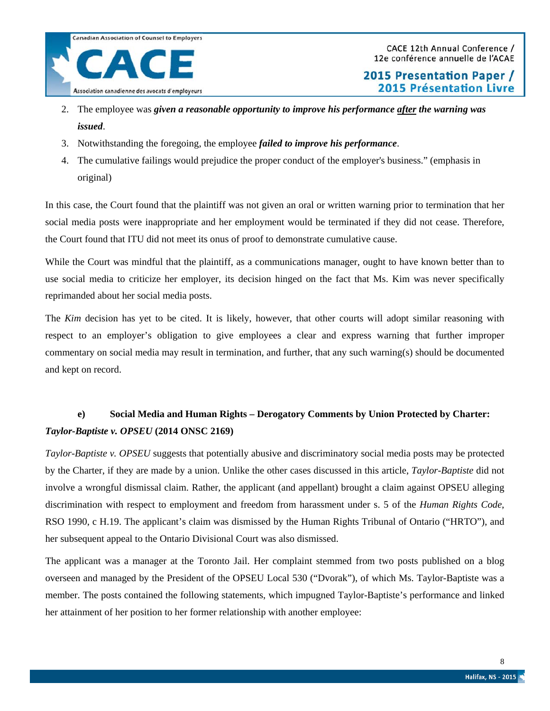

CACE 12th Annual Conference / 12e conférence annuelle de l'ACAE

2015 Presentation Paper / **2015 Présentation Livre** 

- 2. The employee was *given a reasonable opportunity to improve his performance after the warning was issued*.
- 3. Notwithstanding the foregoing, the employee *failed to improve his performance*.
- 4. The cumulative failings would prejudice the proper conduct of the employer's business." (emphasis in original)

In this case, the Court found that the plaintiff was not given an oral or written warning prior to termination that her social media posts were inappropriate and her employment would be terminated if they did not cease. Therefore, the Court found that ITU did not meet its onus of proof to demonstrate cumulative cause.

While the Court was mindful that the plaintiff, as a communications manager, ought to have known better than to use social media to criticize her employer, its decision hinged on the fact that Ms. Kim was never specifically reprimanded about her social media posts.

The *Kim* decision has yet to be cited. It is likely, however, that other courts will adopt similar reasoning with respect to an employer's obligation to give employees a clear and express warning that further improper commentary on social media may result in termination, and further, that any such warning(s) should be documented and kept on record.

## **e) Social Media and Human Rights – Derogatory Comments by Union Protected by Charter:**  *Taylor-Baptiste v. OPSEU* **(2014 ONSC 2169)**

*Taylor-Baptiste v. OPSEU* suggests that potentially abusive and discriminatory social media posts may be protected by the Charter, if they are made by a union. Unlike the other cases discussed in this article, *Taylor-Baptiste* did not involve a wrongful dismissal claim. Rather, the applicant (and appellant) brought a claim against OPSEU alleging discrimination with respect to employment and freedom from harassment under s. 5 of the *Human Rights Code*, RSO 1990, c H.19. The applicant's claim was dismissed by the Human Rights Tribunal of Ontario ("HRTO"), and her subsequent appeal to the Ontario Divisional Court was also dismissed.

The applicant was a manager at the Toronto Jail. Her complaint stemmed from two posts published on a blog overseen and managed by the President of the OPSEU Local 530 ("Dvorak"), of which Ms. Taylor-Baptiste was a member. The posts contained the following statements, which impugned Taylor-Baptiste's performance and linked her attainment of her position to her former relationship with another employee: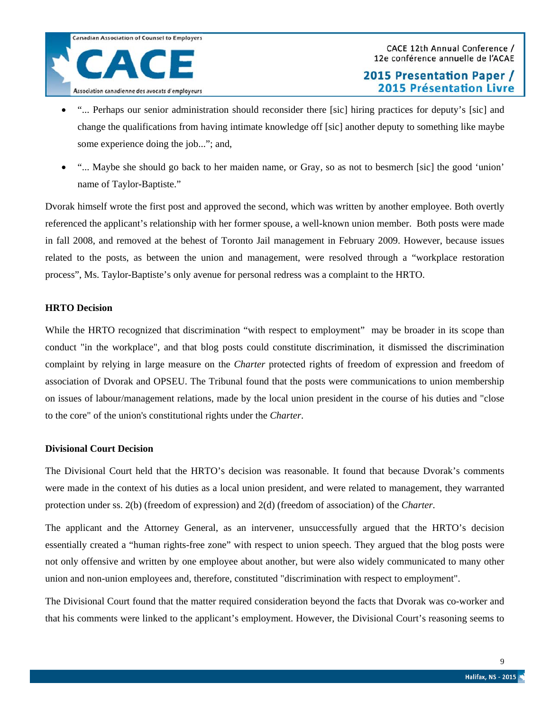- "... Perhaps our senior administration should reconsider there [sic] hiring practices for deputy's [sic] and change the qualifications from having intimate knowledge off [sic] another deputy to something like maybe some experience doing the job..."; and,
- "... Maybe she should go back to her maiden name, or Gray, so as not to besmerch [sic] the good 'union' name of Taylor-Baptiste."

Dvorak himself wrote the first post and approved the second, which was written by another employee. Both overtly referenced the applicant's relationship with her former spouse, a well-known union member. Both posts were made in fall 2008, and removed at the behest of Toronto Jail management in February 2009. However, because issues related to the posts, as between the union and management, were resolved through a "workplace restoration process", Ms. Taylor-Baptiste's only avenue for personal redress was a complaint to the HRTO.

### **HRTO Decision**

While the HRTO recognized that discrimination "with respect to employment" may be broader in its scope than conduct "in the workplace", and that blog posts could constitute discrimination, it dismissed the discrimination complaint by relying in large measure on the *Charter* protected rights of freedom of expression and freedom of association of Dvorak and OPSEU. The Tribunal found that the posts were communications to union membership on issues of labour/management relations, made by the local union president in the course of his duties and "close to the core" of the union's constitutional rights under the *Charter*.

### **Divisional Court Decision**

The Divisional Court held that the HRTO's decision was reasonable. It found that because Dvorak's comments were made in the context of his duties as a local union president, and were related to management, they warranted protection under ss. 2(b) (freedom of expression) and 2(d) (freedom of association) of the *Charter*.

The applicant and the Attorney General, as an intervener, unsuccessfully argued that the HRTO's decision essentially created a "human rights-free zone" with respect to union speech. They argued that the blog posts were not only offensive and written by one employee about another, but were also widely communicated to many other union and non-union employees and, therefore, constituted "discrimination with respect to employment".

The Divisional Court found that the matter required consideration beyond the facts that Dvorak was co-worker and that his comments were linked to the applicant's employment. However, the Divisional Court's reasoning seems to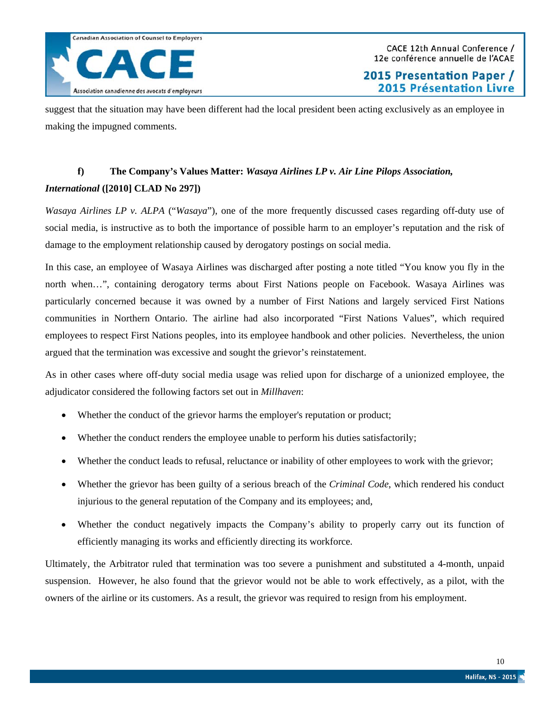suggest that the situation may have been different had the local president been acting exclusively as an employee in making the impugned comments.

# **f) The Company's Values Matter:** *Wasaya Airlines LP v. Air Line Pilops Association, International* **([2010] CLAD No 297])**

*Wasaya Airlines LP v. ALPA* ("*Wasaya*"), one of the more frequently discussed cases regarding off-duty use of social media, is instructive as to both the importance of possible harm to an employer's reputation and the risk of damage to the employment relationship caused by derogatory postings on social media.

In this case, an employee of Wasaya Airlines was discharged after posting a note titled "You know you fly in the north when…", containing derogatory terms about First Nations people on Facebook. Wasaya Airlines was particularly concerned because it was owned by a number of First Nations and largely serviced First Nations communities in Northern Ontario. The airline had also incorporated "First Nations Values", which required employees to respect First Nations peoples, into its employee handbook and other policies. Nevertheless, the union argued that the termination was excessive and sought the grievor's reinstatement.

As in other cases where off-duty social media usage was relied upon for discharge of a unionized employee, the adjudicator considered the following factors set out in *Millhaven*:

- Whether the conduct of the grievor harms the employer's reputation or product;
- Whether the conduct renders the employee unable to perform his duties satisfactorily;
- Whether the conduct leads to refusal, reluctance or inability of other employees to work with the grievor;
- Whether the grievor has been guilty of a serious breach of the *Criminal Code*, which rendered his conduct injurious to the general reputation of the Company and its employees; and,
- Whether the conduct negatively impacts the Company's ability to properly carry out its function of efficiently managing its works and efficiently directing its workforce.

Ultimately, the Arbitrator ruled that termination was too severe a punishment and substituted a 4-month, unpaid suspension. However, he also found that the grievor would not be able to work effectively, as a pilot, with the owners of the airline or its customers. As a result, the grievor was required to resign from his employment.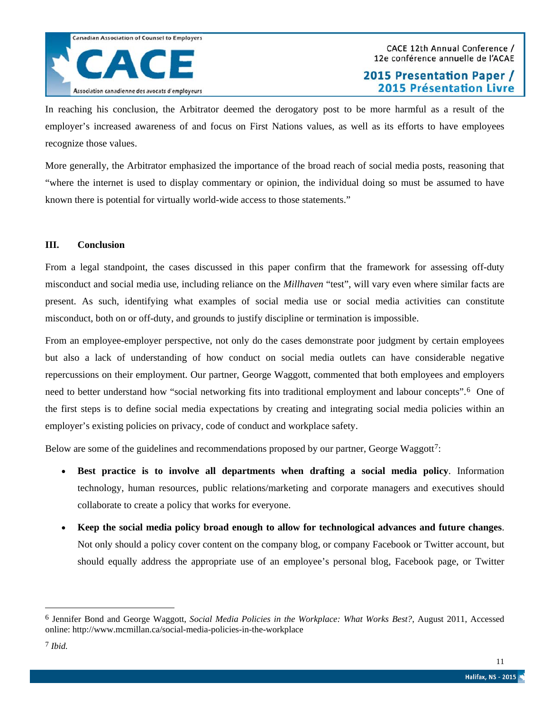

In reaching his conclusion, the Arbitrator deemed the derogatory post to be more harmful as a result of the employer's increased awareness of and focus on First Nations values, as well as its efforts to have employees recognize those values.

More generally, the Arbitrator emphasized the importance of the broad reach of social media posts, reasoning that "where the internet is used to display commentary or opinion, the individual doing so must be assumed to have known there is potential for virtually world-wide access to those statements."

### **III. Conclusion**

From a legal standpoint, the cases discussed in this paper confirm that the framework for assessing off-duty misconduct and social media use, including reliance on the *Millhaven* "test", will vary even where similar facts are present. As such, identifying what examples of social media use or social media activities can constitute misconduct, both on or off-duty, and grounds to justify discipline or termination is impossible.

From an employee-employer perspective, not only do the cases demonstrate poor judgment by certain employees but also a lack of understanding of how conduct on social media outlets can have considerable negative repercussions on their employment. Our partner, George Waggott, commented that both employees and employers need to better understand how "social networking fits into traditional employment and labour concepts".[6](#page-10-0) One of the first steps is to define social media expectations by creating and integrating social media policies within an employer's existing policies on privacy, code of conduct and workplace safety.

Below are some of the guidelines and recommendations proposed by our partner, George Waggott<sup>[7](#page-10-1)</sup>:

- **Best practice is to involve all departments when drafting a social media policy**. Information technology, human resources, public relations/marketing and corporate managers and executives should collaborate to create a policy that works for everyone.
- **Keep the social media policy broad enough to allow for technological advances and future changes**. Not only should a policy cover content on the company blog, or company Facebook or Twitter account, but should equally address the appropriate use of an employee's personal blog, Facebook page, or Twitter

 $\overline{a}$ 

<span id="page-10-1"></span><span id="page-10-0"></span><sup>6</sup> Jennifer Bond and George Waggott, *Social Media Policies in the Workplace: What Works Best?*, August 2011, Accessed online: http://www.mcmillan.ca/social-media-policies-in-the-workplace